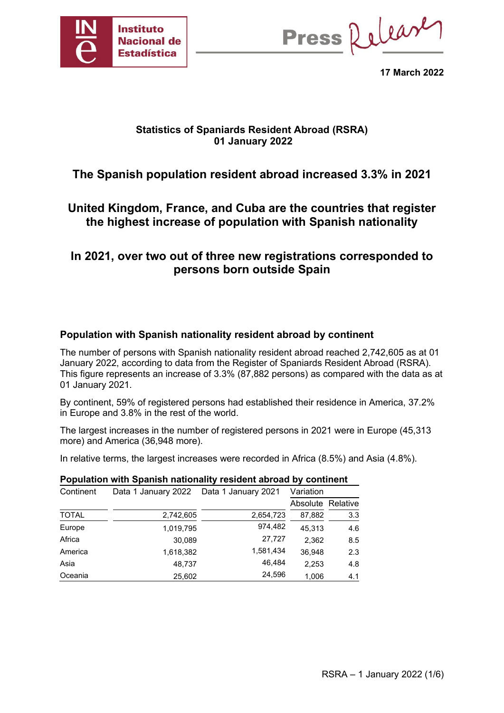

Press Release

**17 March 2022**

## **Statistics of Spaniards Resident Abroad (RSRA) 01 January 2022**

# **The Spanish population resident abroad increased 3.3% in 2021**

# **United Kingdom, France, and Cuba are the countries that register the highest increase of population with Spanish nationality**

# **In 2021, over two out of three new registrations corresponded to persons born outside Spain**

## **Population with Spanish nationality resident abroad by continent**

The number of persons with Spanish nationality resident abroad reached 2,742,605 as at 01 January 2022, according to data from the Register of Spaniards Resident Abroad (RSRA). This figure represents an increase of 3.3% (87,882 persons) as compared with the data as at 01 January 2021.

By continent, 59% of registered persons had established their residence in America, 37.2% in Europe and 3.8% in the rest of the world.

The largest increases in the number of registered persons in 2021 were in Europe (45,313 more) and America (36,948 more).

In relative terms, the largest increases were recorded in Africa (8.5%) and Asia (4.8%).

| Population with Spanish nationality resident abroad by Continent |                                          |           |                   |     |  |  |  |  |  |  |
|------------------------------------------------------------------|------------------------------------------|-----------|-------------------|-----|--|--|--|--|--|--|
| Continent                                                        | Data 1 January 2022  Data 1 January 2021 |           | Variation         |     |  |  |  |  |  |  |
|                                                                  |                                          |           | Absolute Relative |     |  |  |  |  |  |  |
| <b>TOTAL</b>                                                     | 2,742,605                                | 2,654,723 | 87,882            | 3.3 |  |  |  |  |  |  |
| Europe                                                           | 1,019,795                                | 974,482   | 45.313            | 4.6 |  |  |  |  |  |  |
| Africa                                                           | 30.089                                   | 27,727    | 2.362             | 8.5 |  |  |  |  |  |  |
| America                                                          | 1,618,382                                | 1,581,434 | 36.948            | 2.3 |  |  |  |  |  |  |
| Asia                                                             | 48.737                                   | 46.484    | 2,253             | 4.8 |  |  |  |  |  |  |
| Oceania                                                          | 25,602                                   | 24,596    | 1,006             | 4.1 |  |  |  |  |  |  |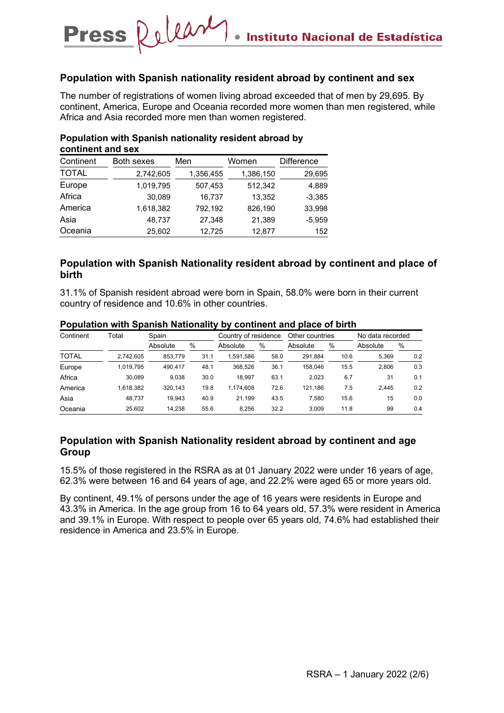#### **Population with Spanish nationality resident abroad by continent and sex**

The number of registrations of women living abroad exceeded that of men by 29,695. By continent, America, Europe and Oceania recorded more women than men registered, while Africa and Asia recorded more men than women registered.

| continent and sex |                   |           |           |                   |  |  |  |  |  |
|-------------------|-------------------|-----------|-----------|-------------------|--|--|--|--|--|
| Continent         | <b>Both sexes</b> | Men       | Women     | <b>Difference</b> |  |  |  |  |  |
| <b>TOTAL</b>      | 2,742,605         | 1,356,455 | 1,386,150 | 29,695            |  |  |  |  |  |
| Europe            | 1,019,795         | 507,453   | 512,342   | 4,889             |  |  |  |  |  |
| Africa            | 30,089            | 16,737    | 13,352    | $-3,385$          |  |  |  |  |  |
| America           | 1,618,382         | 792,192   | 826,190   | 33,998            |  |  |  |  |  |
| Asia              | 48,737            | 27,348    | 21,389    | $-5,959$          |  |  |  |  |  |
| Oceania           | 25,602            | 12,725    | 12,877    | 152               |  |  |  |  |  |

#### **Population with Spanish nationality resident abroad by continent and sex**

Press Relear

### **Population with Spanish Nationality resident abroad by continent and place of birth**

31.1% of Spanish resident abroad were born in Spain, 58.0% were born in their current country of residence and 10.6% in other countries.

| Continent    | Гоtal     | Spain    |      | Country of residence |      | Other countries |      | No data recorded |     |
|--------------|-----------|----------|------|----------------------|------|-----------------|------|------------------|-----|
|              |           | Absolute | %    | Absolute             | %    | Absolute        | %    | Absolute         | %   |
| <b>TOTAL</b> | 2.742.605 | 853.779  | 31.1 | 1,591,586            | 58.0 | 291.884         | 10.6 | 5,369            | 0.2 |
| Europe       | 1.019.795 | 490.417  | 48.1 | 368.526              | 36.1 | 158.046         | 15.5 | 2.806            | 0.3 |
| Africa       | 30.089    | 9.038    | 30.0 | 18.997               | 63.1 | 2.023           | 6.7  | 31               | 0.1 |
| America      | 1.618.382 | 320.143  | 19.8 | 1.174.608            | 72.6 | 121.186         | 7.5  | 2.445            | 0.2 |
| Asia         | 48.737    | 19.943   | 40.9 | 21.199               | 43.5 | 7.580           | 15.6 | 15               | 0.0 |
| Oceania      | 25.602    | 14.238   | 55.6 | 8.256                | 32.2 | 3.009           | 11.8 | 99               | 0.4 |

#### **Population with Spanish Nationality by continent and place of birth**

## **Population with Spanish Nationality resident abroad by continent and age Group**

15.5% of those registered in the RSRA as at 01 January 2022 were under 16 years of age, 62.3% were between 16 and 64 years of age, and 22.2% were aged 65 or more years old.

By continent, 49.1% of persons under the age of 16 years were residents in Europe and 43.3% in America. In the age group from 16 to 64 years old, 57.3% were resident in America and 39.1% in Europe. With respect to people over 65 years old, 74.6% had established their residence in America and 23.5% in Europe.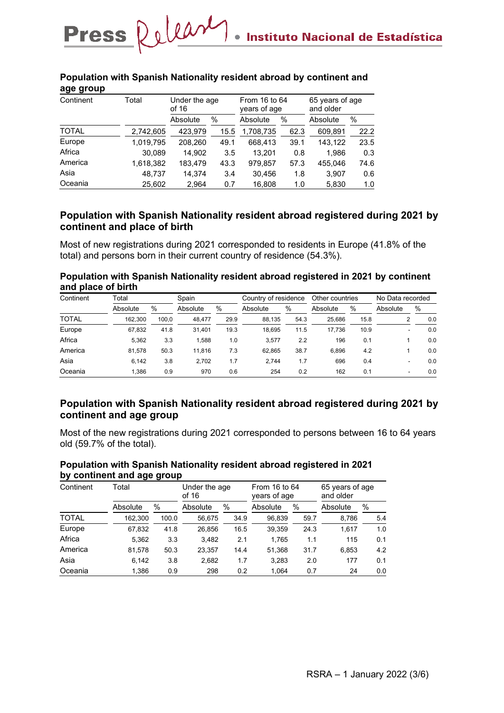| age group    |           |                        |      |                               |      |                              |      |  |
|--------------|-----------|------------------------|------|-------------------------------|------|------------------------------|------|--|
| Continent    | Total     | Under the age<br>of 16 |      | From 16 to 64<br>years of age |      | 65 years of age<br>and older |      |  |
|              |           | Absolute               | $\%$ | Absolute                      | $\%$ | Absolute                     | %    |  |
| <b>TOTAL</b> | 2,742,605 | 423,979                | 15.5 | 1,708,735                     | 62.3 | 609,891                      | 22.2 |  |
| Europe       | 1,019,795 | 208,260                | 49.1 | 668,413                       | 39.1 | 143,122                      | 23.5 |  |
| Africa       | 30,089    | 14,902                 | 3.5  | 13,201                        | 0.8  | 1,986                        | 0.3  |  |
| America      | 1,618,382 | 183,479                | 43.3 | 979,857                       | 57.3 | 455,046                      | 74.6 |  |
| Asia         | 48,737    | 14.374                 | 3.4  | 30,456                        | 1.8  | 3,907                        | 0.6  |  |
| Oceania      | 25.602    | 2.964                  | 0.7  | 16.808                        | 1.0  | 5,830                        | 1.0  |  |

#### **Population with Spanish Nationality resident abroad by continent and age group**

Press Relear

## **Population with Spanish Nationality resident abroad registered during 2021 by continent and place of birth**

Most of new registrations during 2021 corresponded to residents in Europe (41.8% of the total) and persons born in their current country of residence (54.3%).

**Population with Spanish Nationality resident abroad registered in 2021 by continent and place of birth**

| Continent    | Total    |       | Spain    |      | Country of residence |      | Other countries |      | No Data recorded |     |
|--------------|----------|-------|----------|------|----------------------|------|-----------------|------|------------------|-----|
|              | Absolute | %     | Absolute | %    | Absolute             | $\%$ | Absolute        | %    | Absolute         | %   |
| <b>TOTAL</b> | 162.300  | 100.0 | 48.477   | 29.9 | 88.135               | 54.3 | 25.686          | 15.8 |                  | 0.0 |
| Europe       | 67.832   | 41.8  | 31.401   | 19.3 | 18.695               | 11.5 | 17.736          | 10.9 |                  | 0.0 |
| Africa       | 5.362    | 3.3   | 1.588    | 1.0  | 3.577                | 2.2  | 196             | 0.1  |                  | 0.0 |
| America      | 81.578   | 50.3  | 11.816   | 7.3  | 62.865               | 38.7 | 6.896           | 4.2  |                  | 0.0 |
| Asia         | 6.142    | 3.8   | 2.702    | 1.7  | 2.744                | 1.7  | 696             | 0.4  |                  | 0.0 |
| Oceania      | 1.386    | 0.9   | 970      | 0.6  | 254                  | 0.2  | 162             | 0.1  | -                | 0.0 |

## **Population with Spanish Nationality resident abroad registered during 2021 by continent and age group**

Most of the new registrations during 2021 corresponded to persons between 16 to 64 years old (59.7% of the total).

#### **Population with Spanish Nationality resident abroad registered in 2021 by continent and age group**

| Continent    | Total    |       |          | Under the age<br>of 16 |          | From 16 to 64<br>years of age | 65 years of age<br>and older |     |
|--------------|----------|-------|----------|------------------------|----------|-------------------------------|------------------------------|-----|
|              | Absolute | %     | Absolute | %                      | Absolute | $\%$                          | Absolute                     | %   |
| <b>TOTAL</b> | 162,300  | 100.0 | 56,675   | 34.9                   | 96,839   | 59.7                          | 8,786                        | 5.4 |
| Europe       | 67,832   | 41.8  | 26,856   | 16.5                   | 39,359   | 24.3                          | 1,617                        | 1.0 |
| Africa       | 5,362    | 3.3   | 3,482    | 2.1                    | 1.765    | 1.1                           | 115                          | 0.1 |
| America      | 81.578   | 50.3  | 23.357   | 14.4                   | 51.368   | 31.7                          | 6.853                        | 4.2 |
| Asia         | 6.142    | 3.8   | 2,682    | 1.7                    | 3,283    | 2.0                           | 177                          | 0.1 |
| Oceania      | 1,386    | 0.9   | 298      | 0.2                    | 1,064    | 0.7                           | 24                           | 0.0 |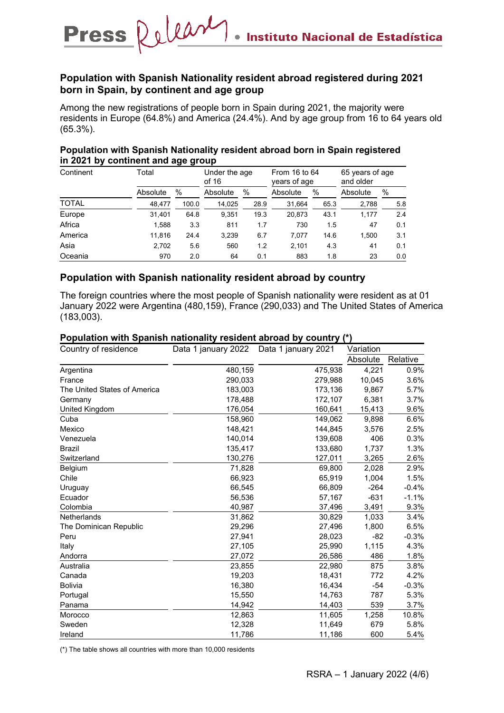## **Population with Spanish Nationality resident abroad registered during 2021 born in Spain, by continent and age group**

Among the new registrations of people born in Spain during 2021, the majority were residents in Europe (64.8%) and America (24.4%). And by age group from 16 to 64 years old (65.3%).

#### **Population with Spanish Nationality resident abroad born in Spain registered in 2021 by continent and age group**

| Continent    | Total    |       |          | Under the age<br>of 16 |          | From 16 to 64<br>years of age | 65 years of age<br>and older |     |
|--------------|----------|-------|----------|------------------------|----------|-------------------------------|------------------------------|-----|
|              | Absolute | $\%$  | Absolute | %                      | Absolute | $\%$                          | Absolute                     | %   |
| <b>TOTAL</b> | 48.477   | 100.0 | 14,025   | 28.9                   | 31,664   | 65.3                          | 2,788                        | 5.8 |
| Europe       | 31,401   | 64.8  | 9.351    | 19.3                   | 20.873   | 43.1                          | 1.177                        | 2.4 |
| Africa       | 1,588    | 3.3   | 811      | 1.7                    | 730      | 1.5                           | 47                           | 0.1 |
| America      | 11.816   | 24.4  | 3.239    | 6.7                    | 7.077    | 14.6                          | 1.500                        | 3.1 |
| Asia         | 2,702    | 5.6   | 560      | 1.2                    | 2.101    | 4.3                           | 41                           | 0.1 |
| Oceania      | 970      | 2.0   | 64       | 0.1                    | 883      | 1.8                           | 23                           | 0.0 |

## **Population with Spanish nationality resident abroad by country**

The foreign countries where the most people of Spanish nationality were resident as at 01 January 2022 were Argentina (480,159), France (290,033) and The United States of America (183,003).

#### **Population with Spanish nationality resident abroad by country (\*)**

| Country of residence         | Data 1 january 2022 | Data 1 january 2021 | Variation |          |
|------------------------------|---------------------|---------------------|-----------|----------|
|                              |                     |                     | Absolute  | Relative |
| Argentina                    | 480,159             | 475,938             | 4,221     | $0.9\%$  |
| France                       | 290,033             | 279,988             | 10,045    | 3.6%     |
| The United States of America | 183,003             | 173,136             | 9,867     | 5.7%     |
| Germany                      | 178,488             | 172,107             | 6,381     | 3.7%     |
| United Kingdom               | 176,054             | 160,641             | 15,413    | 9.6%     |
| Cuba                         | 158,960             | 149,062             | 9,898     | 6.6%     |
| Mexico                       | 148,421             | 144,845             | 3,576     | 2.5%     |
| Venezuela                    | 140,014             | 139,608             | 406       | 0.3%     |
| <b>Brazil</b>                | 135,417             | 133,680             | 1,737     | 1.3%     |
| Switzerland                  | 130,276             | 127,011             | 3,265     | 2.6%     |
| Belgium                      | 71,828              | 69,800              | 2,028     | 2.9%     |
| Chile                        | 66,923              | 65,919              | 1,004     | 1.5%     |
| Uruguay                      | 66,545              | 66,809              | $-264$    | $-0.4%$  |
| Ecuador                      | 56,536              | 57,167              | $-631$    | $-1.1%$  |
| Colombia                     | 40,987              | 37,496              | 3,491     | 9.3%     |
| <b>Netherlands</b>           | 31,862              | 30,829              | 1,033     | 3.4%     |
| The Dominican Republic       | 29,296              | 27,496              | 1,800     | 6.5%     |
| Peru                         | 27,941              | 28,023              | -82       | $-0.3%$  |
| Italy                        | 27,105              | 25,990              | 1,115     | 4.3%     |
| Andorra                      | 27,072              | 26,586              | 486       | 1.8%     |
| Australia                    | 23,855              | 22,980              | 875       | 3.8%     |
| Canada                       | 19,203              | 18,431              | 772       | 4.2%     |
| <b>Bolivia</b>               | 16,380              | 16,434              | $-54$     | $-0.3%$  |
| Portugal                     | 15,550              | 14,763              | 787       | 5.3%     |
| Panama                       | 14,942              | 14,403              | 539       | 3.7%     |
| Morocco                      | 12,863              | 11,605              | 1,258     | 10.8%    |
| Sweden                       | 12,328              | 11,649              | 679       | 5.8%     |
| Ireland                      | 11,786              | 11,186              | 600       | 5.4%     |

(\*) The table shows all countries with more than 10,000 residents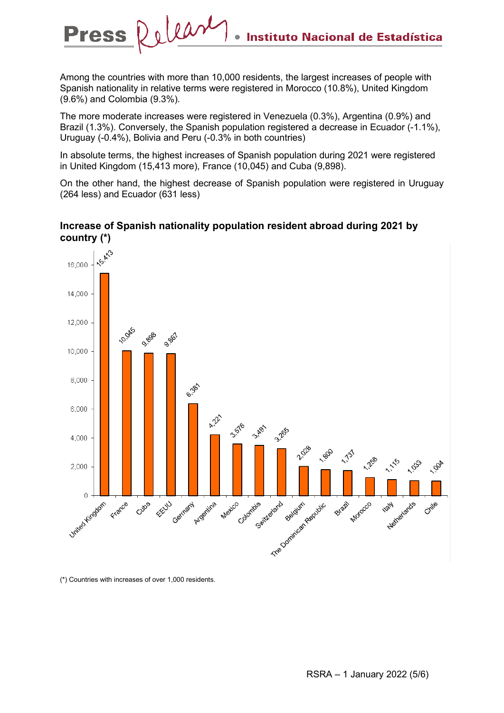Among the countries with more than 10,000 residents, the largest increases of people with Spanish nationality in relative terms were registered in Morocco (10.8%), United Kingdom (9.6%) and Colombia (9.3%).

The more moderate increases were registered in Venezuela (0.3%), Argentina (0.9%) and Brazil (1.3%). Conversely, the Spanish population registered a decrease in Ecuador (-1.1%), Uruguay (-0.4%), Bolivia and Peru (-0.3% in both countries)

In absolute terms, the highest increases of Spanish population during 2021 were registered in United Kingdom (15,413 more), France (10,045) and Cuba (9,898).

On the other hand, the highest decrease of Spanish population were registered in Uruguay (264 less) and Ecuador (631 less)



### **Increase of Spanish nationality population resident abroad during 2021 by country (\*)**

(\*) Countries with increases of over 1,000 residents.